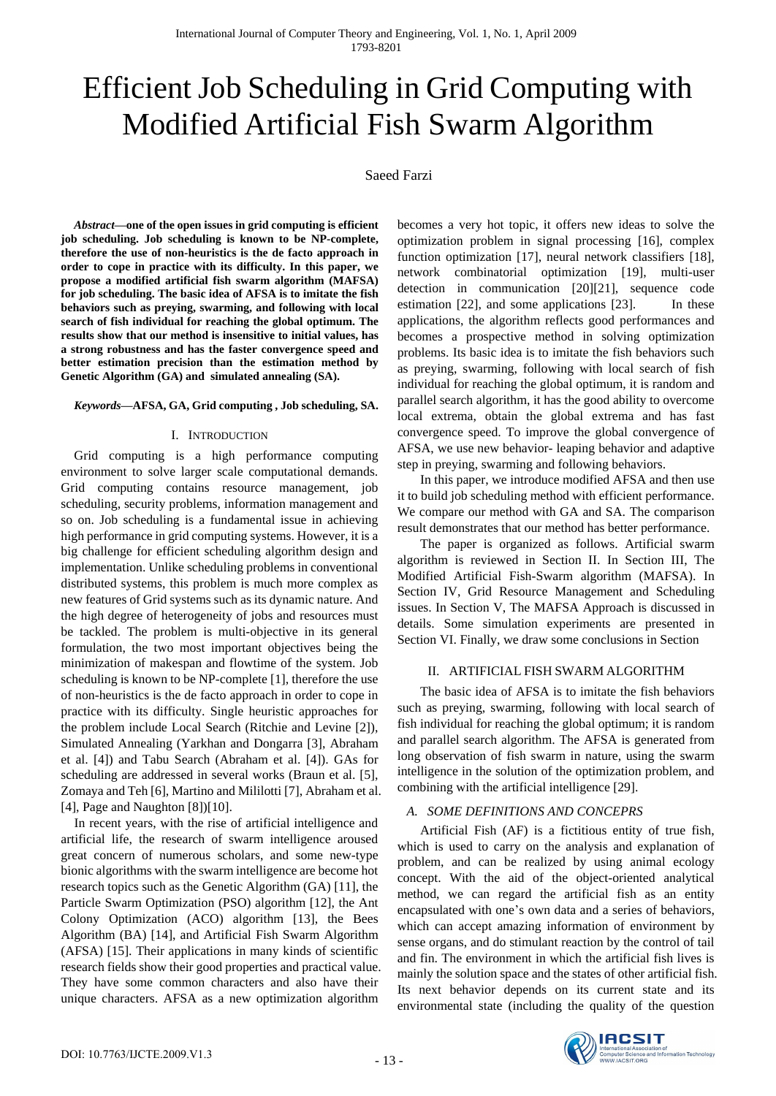# Efficient Job Scheduling in Grid Computing with Modified Artificial Fish Swarm Algorithm

# Saeed Farzi

*Abstract***—one of the open issues in grid computing is efficient job scheduling. Job scheduling is known to be NP-complete, therefore the use of non-heuristics is the de facto approach in order to cope in practice with its difficulty. In this paper, we propose a modified artificial fish swarm algorithm (MAFSA) for job scheduling. The basic idea of AFSA is to imitate the fish behaviors such as preying, swarming, and following with local search of fish individual for reaching the global optimum. The results show that our method is insensitive to initial values, has a strong robustness and has the faster convergence speed and better estimation precision than the estimation method by Genetic Algorithm (GA) and simulated annealing (SA).** 

## *Keywords***—AFSA, GA, Grid computing , Job scheduling, SA.**

## I. INTRODUCTION

Grid computing is a high performance computing environment to solve larger scale computational demands. Grid computing contains resource management, job scheduling, security problems, information management and so on. Job scheduling is a fundamental issue in achieving high performance in grid computing systems. However, it is a big challenge for efficient scheduling algorithm design and implementation. Unlike scheduling problems in conventional distributed systems, this problem is much more complex as new features of Grid systems such as its dynamic nature. And the high degree of heterogeneity of jobs and resources must be tackled. The problem is multi-objective in its general formulation, the two most important objectives being the minimization of makespan and flowtime of the system. Job scheduling is known to be NP-complete [1], therefore the use of non-heuristics is the de facto approach in order to cope in practice with its difficulty. Single heuristic approaches for the problem include Local Search (Ritchie and Levine [2]), Simulated Annealing (Yarkhan and Dongarra [3], Abraham et al. [4]) and Tabu Search (Abraham et al. [4]). GAs for scheduling are addressed in several works (Braun et al. [5], Zomaya and Teh [6], Martino and Mililotti [7], Abraham et al. [4], Page and Naughton [8])[10].

In recent years, with the rise of artificial intelligence and artificial life, the research of swarm intelligence aroused great concern of numerous scholars, and some new-type bionic algorithms with the swarm intelligence are become hot research topics such as the Genetic Algorithm (GA) [11], the Particle Swarm Optimization (PSO) algorithm [12], the Ant Colony Optimization (ACO) algorithm [13], the Bees Algorithm (BA) [14], and Artificial Fish Swarm Algorithm (AFSA) [15]. Their applications in many kinds of scientific research fields show their good properties and practical value. They have some common characters and also have their unique characters. AFSA as a new optimization algorithm

becomes a very hot topic, it offers new ideas to solve the optimization problem in signal processing [16], complex function optimization [17], neural network classifiers [18], network combinatorial optimization [19], multi-user detection in communication [20][21], sequence code estimation [22], and some applications [23]. In these applications, the algorithm reflects good performances and becomes a prospective method in solving optimization problems. Its basic idea is to imitate the fish behaviors such as preying, swarming, following with local search of fish individual for reaching the global optimum, it is random and parallel search algorithm, it has the good ability to overcome local extrema, obtain the global extrema and has fast convergence speed. To improve the global convergence of AFSA, we use new behavior- leaping behavior and adaptive step in preying, swarming and following behaviors.

 In this paper, we introduce modified AFSA and then use it to build job scheduling method with efficient performance. We compare our method with GA and SA. The comparison result demonstrates that our method has better performance.

 The paper is organized as follows. Artificial swarm algorithm is reviewed in Section II. In Section III, The Modified Artificial Fish-Swarm algorithm (MAFSA). In Section IV, Grid Resource Management and Scheduling issues. In Section V, The MAFSA Approach is discussed in details. Some simulation experiments are presented in Section VI. Finally, we draw some conclusions in Section

## II. ARTIFICIAL FISH SWARM ALGORITHM

 The basic idea of AFSA is to imitate the fish behaviors such as preying, swarming, following with local search of fish individual for reaching the global optimum; it is random and parallel search algorithm. The AFSA is generated from long observation of fish swarm in nature, using the swarm intelligence in the solution of the optimization problem, and combining with the artificial intelligence [29].

## *A. SOME DEFINITIONS AND CONCEPRS*

 Artificial Fish (AF) is a fictitious entity of true fish, which is used to carry on the analysis and explanation of problem, and can be realized by using animal ecology concept. With the aid of the object-oriented analytical method, we can regard the artificial fish as an entity encapsulated with one's own data and a series of behaviors, which can accept amazing information of environment by sense organs, and do stimulant reaction by the control of tail and fin. The environment in which the artificial fish lives is mainly the solution space and the states of other artificial fish. Its next behavior depends on its current state and its environmental state (including the quality of the question

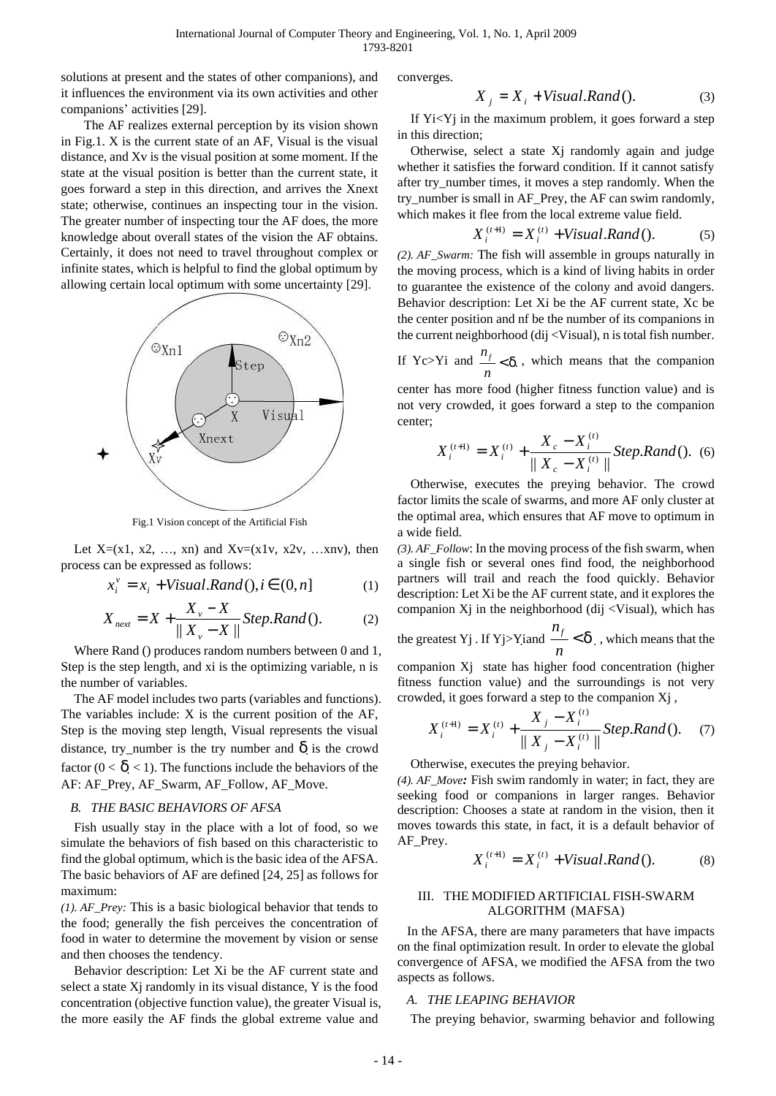solutions at present and the states of other companions), and it influences the environment via its own activities and other companions' activities [29].

 The AF realizes external perception by its vision shown in Fig.1. X is the current state of an AF, Visual is the visual distance, and Xv is the visual position at some moment. If the state at the visual position is better than the current state, it goes forward a step in this direction, and arrives the Xnext state; otherwise, continues an inspecting tour in the vision. The greater number of inspecting tour the AF does, the more knowledge about overall states of the vision the AF obtains. Certainly, it does not need to travel throughout complex or infinite states, which is helpful to find the global optimum by allowing certain local optimum with some uncertainty [29].



Fig.1 Vision concept of the Artificial Fish

Let  $X=(x1, x2, ..., xn)$  and  $Xv=(x1v, x2v, ...xnv)$ , then process can be expressed as follows:

$$
x_i^v = x_i + Visual.Rand(), i \in (0, n]
$$
 (1)

$$
X_{\text{next}} = X + \frac{X_{\nu} - X}{\|X_{\nu} - X\|}Step. Rand()
$$
 (2)

Where Rand () produces random numbers between 0 and 1, Step is the step length, and xi is the optimizing variable, n is the number of variables.

The AF model includes two parts (variables and functions). The variables include: X is the current position of the AF, Step is the moving step length, Visual represents the visual distance, try\_number is the try number and  $\vec{d}$  is the crowd factor  $(0 < d < 1)$ . The functions include the behaviors of the AF: AF\_Prey, AF\_Swarm, AF\_Follow, AF\_Move.

## *B. THE BASIC BEHAVIORS OF AFSA*

Fish usually stay in the place with a lot of food, so we simulate the behaviors of fish based on this characteristic to find the global optimum, which is the basic idea of the AFSA. The basic behaviors of AF are defined [24, 25] as follows for maximum:

*(1). AF\_Prey:* This is a basic biological behavior that tends to the food; generally the fish perceives the concentration of food in water to determine the movement by vision or sense and then chooses the tendency.

Behavior description: Let Xi be the AF current state and select a state Xj randomly in its visual distance, Y is the food concentration (objective function value), the greater Visual is, the more easily the AF finds the global extreme value and

converges.

$$
X_j = X_i + Visual.Rand()
$$
 (3)

If Yi<Yj in the maximum problem, it goes forward a step in this direction;

Otherwise, select a state Xj randomly again and judge whether it satisfies the forward condition. If it cannot satisfy after try\_number times, it moves a step randomly. When the try\_number is small in AF\_Prey, the AF can swim randomly, which makes it flee from the local extreme value field.

$$
X_i^{(t+1)} = X_i^{(t)} + Visual.Rand()
$$
 (5)

*(2). AF\_Swarm:* The fish will assemble in groups naturally in the moving process, which is a kind of living habits in order to guarantee the existence of the colony and avoid dangers. Behavior description: Let Xi be the AF current state, Xc be the center position and nf be the number of its companions in the current neighborhood (dij <Visual), n is total fish number.

If Yc>Yi and  $\frac{n_j}{n}$ *n*  $< d$ , which means that the companion

center has more food (higher fitness function value) and is not very crowded, it goes forward a step to the companion center;

$$
X_i^{(t+1)} = X_i^{(t)} + \frac{X_c - X_i^{(t)}}{\| X_c - X_i^{(t)} \|} \text{Step.Rand}( ). \tag{6}
$$

Otherwise, executes the preying behavior. The crowd factor limits the scale of swarms, and more AF only cluster at the optimal area, which ensures that AF move to optimum in a wide field.

*(3). AF\_Follow*: In the moving process of the fish swarm, when a single fish or several ones find food, the neighborhood partners will trail and reach the food quickly. Behavior description: Let Xi be the AF current state, and it explores the companion  $Xj$  in the neighborhood (dij <Visual), which has

the greatest Yj. If Yj>Yiand 
$$
\frac{n_f}{n} < d
$$
, which means that the

companion Xj state has higher food concentration (higher fitness function value) and the surroundings is not very crowded, it goes forward a step to the companion Xj ,

$$
X_i^{(t+1)} = X_i^{(t)} + \frac{X_j - X_i^{(t)}}{\| X_j - X_i^{(t)} \|} \text{Step.} \text{Rand}()
$$
 (7)

Otherwise, executes the preying behavior.

*(4). AF\_Move:* Fish swim randomly in water; in fact, they are seeking food or companions in larger ranges. Behavior description: Chooses a state at random in the vision, then it moves towards this state, in fact, it is a default behavior of AF\_Prey.

$$
X_i^{(t+1)} = X_i^{(t)} + Visual.Rand()
$$
 (8)

## III. THE MODIFIED ARTIFICIAL FISH-SWARM ALGORITHM (MAFSA)

 In the AFSA, there are many parameters that have impacts on the final optimization result. In order to elevate the global convergence of AFSA, we modified the AFSA from the two aspects as follows.

#### *A. THE LEAPING BEHAVIOR*

The preying behavior, swarming behavior and following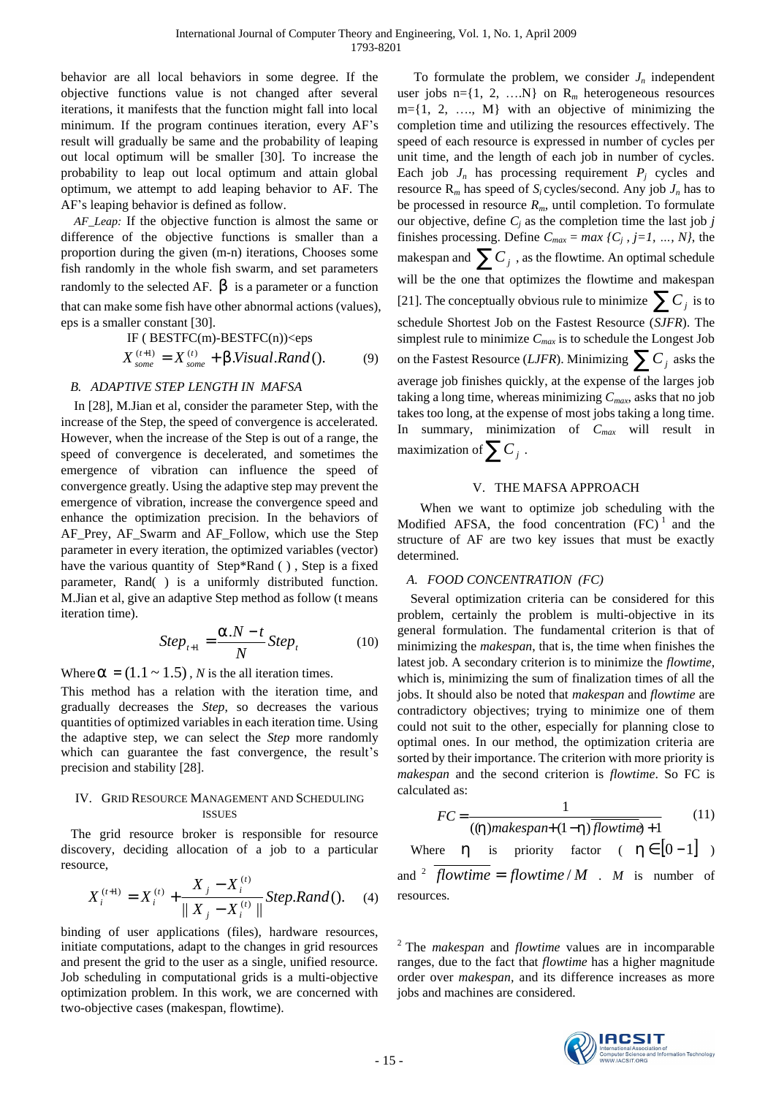behavior are all local behaviors in some degree. If the objective functions value is not changed after several iterations, it manifests that the function might fall into local minimum. If the program continues iteration, every AF's result will gradually be same and the probability of leaping out local optimum will be smaller [30]. To increase the probability to leap out local optimum and attain global optimum, we attempt to add leaping behavior to AF. The AF's leaping behavior is defined as follow.

*AF\_Leap:* If the objective function is almost the same or difference of the objective functions is smaller than a proportion during the given (m-n) iterations, Chooses some fish randomly in the whole fish swarm, and set parameters randomly to the selected AF.  $\boldsymbol{b}$  is a parameter or a function that can make some fish have other abnormal actions (values), eps is a smaller constant [30].

IF ( BESTFC(m)-BESTFC(n))\n
$$
X_{some}^{(t+1)} = X_{some}^{(t)} + b.Visual, Rand()
$$
\n(9)

# *B. ADAPTIVE STEP LENGTH IN MAFSA*

In [28], M.Jian et al, consider the parameter Step, with the increase of the Step, the speed of convergence is accelerated. However, when the increase of the Step is out of a range, the speed of convergence is decelerated, and sometimes the emergence of vibration can influence the speed of convergence greatly. Using the adaptive step may prevent the emergence of vibration, increase the convergence speed and enhance the optimization precision. In the behaviors of AF\_Prey, AF\_Swarm and AF\_Follow, which use the Step parameter in every iteration, the optimized variables (vector) have the various quantity of Step\*Rand (), Step is a fixed parameter, Rand( ) is a uniformly distributed function. M.Jian et al, give an adaptive Step method as follow (t means iteration time).

$$
Step_{t+1} = \frac{a.N - t}{N} Step_t \tag{10}
$$

Where  $a = (1.1 \sim 1.5)$ , *N* is the all iteration times.

This method has a relation with the iteration time, and gradually decreases the *Step*, so decreases the various quantities of optimized variables in each iteration time. Using the adaptive step, we can select the *Step* more randomly which can guarantee the fast convergence, the result's precision and stability [28].

## IV. GRID RESOURCE MANAGEMENT AND SCHEDULING ISSUES

 The grid resource broker is responsible for resource discovery, deciding allocation of a job to a particular resource,

$$
X_i^{(t+1)} = X_i^{(t)} + \frac{X_j - X_i^{(t)}}{\| X_j - X_i^{(t)} \|} \text{Step.} \text{Rand}()
$$
 (4)

binding of user applications (files), hardware resources, initiate computations, adapt to the changes in grid resources and present the grid to the user as a single, unified resource. Job scheduling in computational grids is a multi-objective optimization problem. In this work, we are concerned with two-objective cases (makespan, flowtime).

To formulate the problem, we consider  $J_n$  independent user jobs  $n = \{1, 2, \ldots N\}$  on  $R_m$  heterogeneous resources  $m=\{1, 2, \ldots, M\}$  with an objective of minimizing the completion time and utilizing the resources effectively. The speed of each resource is expressed in number of cycles per unit time, and the length of each job in number of cycles. Each job  $J_n$  has processing requirement  $P_j$  cycles and resource  $\mathbf{R}_m$  has speed of  $S_i$  cycles/second. Any job  $J_n$  has to be processed in resource *Rm,* until completion. To formulate our objective, define  $C_i$  as the completion time the last job  $j$ finishes processing. Define  $C_{max} = max \{C_j, j=1, ..., N\}$ , the makespan and  $\sum C_j$  , as the flowtime. An optimal schedule will be the one that optimizes the flowtime and makespan [21]. The conceptually obvious rule to minimize  $\sum C_j$  is to schedule Shortest Job on the Fastest Resource (*SJFR*). The simplest rule to minimize *Cmax* is to schedule the Longest Job on the Fastest Resource (*LJFR*). Minimizing  $\sum C_j$  asks the average job finishes quickly, at the expense of the larges job taking a long time, whereas minimizing *Cmax*, asks that no job takes too long, at the expense of most jobs taking a long time. In summary, minimization of *Cmax* will result in maximization of  $\sum C_j$  .

## V. THE MAFSA APPROACH

 When we want to optimize job scheduling with the Modified AFSA, the food concentration  $(FC)^1$  and the structure of AF are two key issues that must be exactly determined.

## *A. FOOD CONCENTRATION (FC)*

Several optimization criteria can be considered for this problem, certainly the problem is multi-objective in its general formulation. The fundamental criterion is that of minimizing the *makespan*, that is, the time when finishes the latest job. A secondary criterion is to minimize the *flowtime*, which is, minimizing the sum of finalization times of all the jobs. It should also be noted that *makespan* and *flowtime* are contradictory objectives; trying to minimize one of them could not suit to the other, especially for planning close to optimal ones. In our method, the optimization criteria are sorted by their importance. The criterion with more priority is *makespan* and the second criterion is *flowtime*. So FC is calculated as:

$$
FC = \frac{1}{((h) makes pan+(1-h)\overline{flowtime})+1}
$$
 (11)

Where *h* is priority factor (  $h \in [0-1]$  ) and <sup>2</sup> *flowtime* = *flowtime* / *M* . *M* is number of resources.

2 The *makespan* and *flowtime* values are in incomparable ranges, due to the fact that *flowtime* has a higher magnitude order over *makespan,* and its difference increases as more jobs and machines are considered.

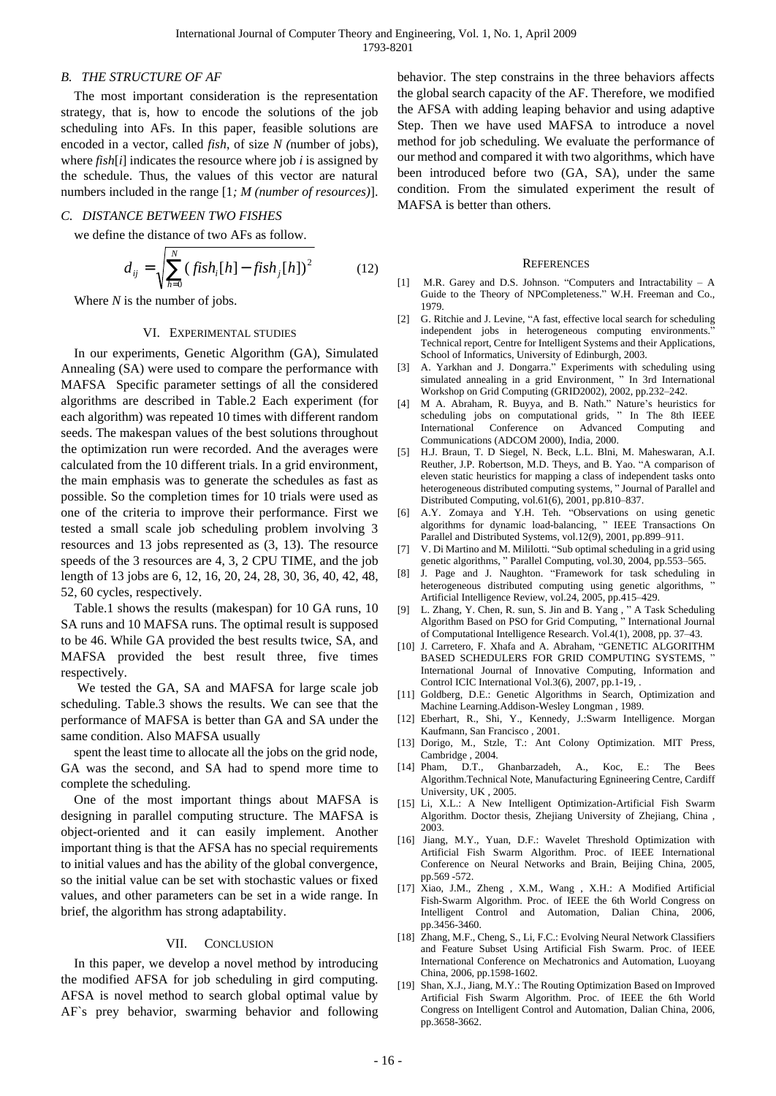## *B. THE STRUCTURE OF AF*

The most important consideration is the representation strategy, that is, how to encode the solutions of the job scheduling into AFs. In this paper, feasible solutions are encoded in a vector, called *fish*, of size *N (*number of jobs), where *fish*[*i*] indicates the resource where job *i* is assigned by the schedule. Thus, the values of this vector are natural numbers included in the range [1*; M (number of resources)*].

#### *C. DISTANCE BETWEEN TWO FISHES*

we define the distance of two AFs as follow.

$$
d_{ij} = \sqrt{\sum_{h=0}^{N} (fish_i[h] - fish_j[h])^2}
$$
 (12)

Where *N* is the number of jobs.

#### VI. EXPERIMENTAL STUDIES

In our experiments, Genetic Algorithm (GA), Simulated Annealing (SA) were used to compare the performance with MAFSA Specific parameter settings of all the considered algorithms are described in Table.2 Each experiment (for each algorithm) was repeated 10 times with different random seeds. The makespan values of the best solutions throughout the optimization run were recorded. And the averages were calculated from the 10 different trials. In a grid environment, the main emphasis was to generate the schedules as fast as possible. So the completion times for 10 trials were used as one of the criteria to improve their performance. First we tested a small scale job scheduling problem involving 3 resources and 13 jobs represented as (3, 13). The resource speeds of the 3 resources are 4, 3, 2 CPU TIME, and the job length of 13 jobs are 6, 12, 16, 20, 24, 28, 30, 36, 40, 42, 48, 52, 60 cycles, respectively.

Table.1 shows the results (makespan) for 10 GA runs, 10 SA runs and 10 MAFSA runs. The optimal result is supposed to be 46. While GA provided the best results twice, SA, and MAFSA provided the best result three, five times respectively.

We tested the GA, SA and MAFSA for large scale job scheduling. Table.3 shows the results. We can see that the performance of MAFSA is better than GA and SA under the same condition. Also MAFSA usually

spent the least time to allocate all the jobs on the grid node, GA was the second, and SA had to spend more time to complete the scheduling.

One of the most important things about MAFSA is designing in parallel computing structure. The MAFSA is object-oriented and it can easily implement. Another important thing is that the AFSA has no special requirements to initial values and has the ability of the global convergence, so the initial value can be set with stochastic values or fixed values, and other parameters can be set in a wide range. In brief, the algorithm has strong adaptability.

#### VII. CONCLUSION

In this paper, we develop a novel method by introducing the modified AFSA for job scheduling in gird computing. AFSA is novel method to search global optimal value by AF`s prey behavior, swarming behavior and following behavior. The step constrains in the three behaviors affects the global search capacity of the AF. Therefore, we modified the AFSA with adding leaping behavior and using adaptive Step. Then we have used MAFSA to introduce a novel method for job scheduling. We evaluate the performance of our method and compared it with two algorithms, which have been introduced before two (GA, SA), under the same condition. From the simulated experiment the result of MAFSA is better than others.

#### **REFERENCES**

- [1] M.R. Garey and D.S. Johnson. "Computers and Intractability A Guide to the Theory of NPCompleteness." W.H. Freeman and Co., 1979.
- [2] G. Ritchie and J. Levine, "A fast, effective local search for scheduling independent jobs in heterogeneous computing environments." Technical report, Centre for Intelligent Systems and their Applications, School of Informatics, University of Edinburgh, 2003.
- [3] A. Yarkhan and J. Dongarra." Experiments with scheduling using simulated annealing in a grid Environment, " In 3rd International Workshop on Grid Computing (GRID2002), 2002, pp.232–242.
- [4] M A. Abraham, R. Buyya, and B. Nath." Nature's heuristics for scheduling jobs on computational grids, " In The 8th IEEE International Conference on Advanced Computing and Communications (ADCOM 2000), India, 2000.
- [5] H.J. Braun, T. D Siegel, N. Beck, L.L. Blni, M. Maheswaran, A.I. Reuther, J.P. Robertson, M.D. Theys, and B. Yao. "A comparison of eleven static heuristics for mapping a class of independent tasks onto heterogeneous distributed computing systems, " Journal of Parallel and Distributed Computing, vol.61(6), 2001, pp.810–837.
- [6] A.Y. Zomaya and Y.H. Teh. "Observations on using genetic algorithms for dynamic load-balancing, " IEEE Transactions On Parallel and Distributed Systems, vol.12(9), 2001, pp.899–911.
- [7] V. Di Martino and M. Mililotti. "Sub optimal scheduling in a grid using genetic algorithms, " Parallel Computing, vol.30, 2004, pp.553–565.
- [8] J. Page and J. Naughton. "Framework for task scheduling in heterogeneous distributed computing using genetic algorithms, Artificial Intelligence Review, vol.24, 2005, pp.415–429.
- [9] L. Zhang, Y. Chen, R. sun, S. Jin and B. Yang , " A Task Scheduling Algorithm Based on PSO for Grid Computing, " International Journal of Computational Intelligence Research. Vol.4(1), 2008, pp. 37–43.
- [10] J. Carretero, F. Xhafa and A. Abraham, "GENETIC ALGORITHM BASED SCHEDULERS FOR GRID COMPUTING SYSTEMS, International Journal of Innovative Computing, Information and Control ICIC International Vol.3(6), 2007, pp.1-19,
- [11] Goldberg, D.E.: Genetic Algorithms in Search, Optimization and Machine Learning.Addison-Wesley Longman , 1989.
- [12] Eberhart, R., Shi, Y., Kennedy, J.:Swarm Intelligence. Morgan Kaufmann, San Francisco , 2001.
- [13] Dorigo, M., Stzle, T.: Ant Colony Optimization. MIT Press, Cambridge , 2004.
- [14] Pham, D.T., Ghanbarzadeh, A., Koc, E.: The Bees Algorithm.Technical Note, Manufacturing Egnineering Centre, Cardiff University, UK , 2005.
- [15] Li, X.L.: A New Intelligent Optimization-Artificial Fish Swarm Algorithm. Doctor thesis, Zhejiang University of Zhejiang, China , 2003.
- [16] Jiang, M.Y., Yuan, D.F.: Wavelet Threshold Optimization with Artificial Fish Swarm Algorithm. Proc. of IEEE International Conference on Neural Networks and Brain, Beijing China, 2005, pp.569 -572.
- [17] Xiao, J.M., Zheng , X.M., Wang , X.H.: A Modified Artificial Fish-Swarm Algorithm. Proc. of IEEE the 6th World Congress on Intelligent Control and Automation, Dalian China, 2006, pp.3456-3460.
- [18] Zhang, M.F., Cheng, S., Li, F.C.: Evolving Neural Network Classifiers and Feature Subset Using Artificial Fish Swarm. Proc. of IEEE International Conference on Mechatronics and Automation, Luoyang China, 2006, pp.1598-1602.
- [19] Shan, X.J., Jiang, M.Y.: The Routing Optimization Based on Improved Artificial Fish Swarm Algorithm. Proc. of IEEE the 6th World Congress on Intelligent Control and Automation, Dalian China, 2006, pp.3658-3662.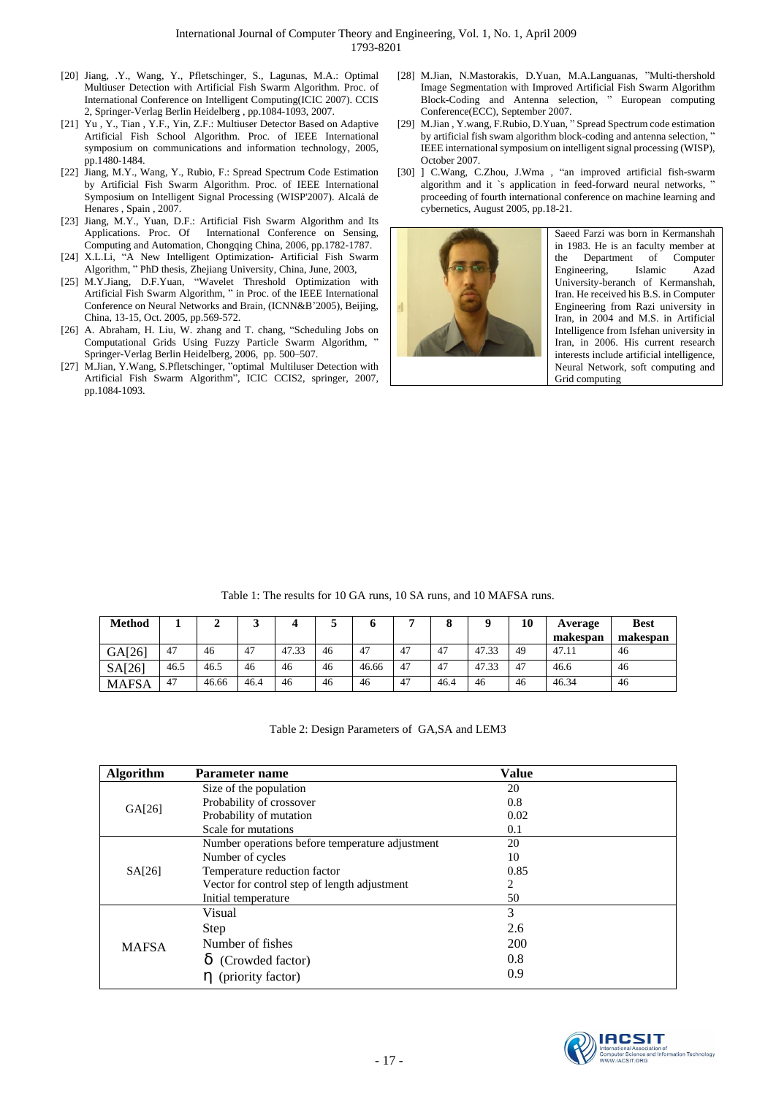- [20] Jiang, .Y., Wang, Y., Pfletschinger, S., Lagunas, M.A.: Optimal Multiuser Detection with Artificial Fish Swarm Algorithm. Proc. of International Conference on Intelligent Computing(ICIC 2007). CCIS 2, Springer-Verlag Berlin Heidelberg , pp.1084-1093, 2007.
- [21] Yu , Y., Tian , Y.F., Yin, Z.F.: Multiuser Detector Based on Adaptive Artificial Fish School Algorithm. Proc. of IEEE International symposium on communications and information technology, 2005, pp.1480-1484.
- [22] Jiang, M.Y., Wang, Y., Rubio, F.: Spread Spectrum Code Estimation by Artificial Fish Swarm Algorithm. Proc. of IEEE International Symposium on Intelligent Signal Processing (WISP'2007). Alcalá de Henares , Spain , 2007.
- [23] Jiang, M.Y., Yuan, D.F.: Artificial Fish Swarm Algorithm and Its Applications. Proc. Of International Conference on Sensing, Computing and Automation, Chongqing China, 2006, pp.1782-1787.
- [24] X.L.Li, "A New Intelligent Optimization- Artificial Fish Swarm Algorithm, " PhD thesis, Zhejiang University, China, June, 2003,
- [25] M.Y.Jiang, D.F.Yuan, "Wavelet Threshold Optimization with Artificial Fish Swarm Algorithm, " in Proc. of the IEEE International Conference on Neural Networks and Brain, (ICNN&B'2005), Beijing, China, 13-15, Oct. 2005, pp.569-572.
- [26] A. Abraham, H. Liu, W. zhang and T. chang, "Scheduling Jobs on Computational Grids Using Fuzzy Particle Swarm Algorithm, Springer-Verlag Berlin Heidelberg, 2006, pp. 500–507.
- [27] M.Jian, Y.Wang, S.Pfletschinger, "optimal Multiluser Detection with Artificial Fish Swarm Algorithm", ICIC CCIS2, springer, 2007, pp.1084-1093.
- [28] M.Jian, N.Mastorakis, D.Yuan, M.A.Languanas, "Multi-thershold Image Segmentation with Improved Artificial Fish Swarm Algorithm Block-Coding and Antenna selection, " European computing Conference(ECC), September 2007.
- [29] M.Jian , Y.wang, F.Rubio, D.Yuan, " Spread Spectrum code estimation by artificial fish swam algorithm block-coding and antenna selection, IEEE international symposium on intelligent signal processing (WISP), October 2007.
- [30] ] C.Wang, C.Zhou, J.Wma, "an improved artificial fish-swarm algorithm and it `s application in feed-forward neural networks, ' proceeding of fourth international conference on machine learning and cybernetics, August 2005, pp.18-21.



Saeed Farzi was born in Kermanshah in 1983. He is an faculty member at the Department of Computer<br>Engineering, Islamic Azad Engineering, Islamic Azad University-beranch of Kermanshah, Iran. He received his B.S. in Computer Engineering from Razi university in Iran, in 2004 and M.S. in Artificial Intelligence from Isfehan university in Iran, in 2006. His current research interests include artificial intelligence, Neural Network, soft computing and Grid computing

| <b>Method</b> |      | ↵     |      |       |    | o     |    | o    |       | 10 | Average  | <b>Best</b> |
|---------------|------|-------|------|-------|----|-------|----|------|-------|----|----------|-------------|
|               |      |       |      |       |    |       |    |      |       |    | makespan | makespan    |
| GA[26]        | 47   | 46    | 47   | 47.33 | 46 | 47    | 47 | 47   | 47.33 | 49 | 47.11    | 46          |
| SA[26]        | 46.5 | 46.5  | 46   | 46    | 46 | 46.66 | 47 | 47   | 47.33 | 47 | 46.6     | 46          |
| MAFSA         | 47   | 46.66 | 46.4 | 46    | 46 | 46    | 47 | 46.4 | 46    | 46 | 46.34    | 46          |

Table 1: The results for 10 GA runs, 10 SA runs, and 10 MAFSA runs.

Table 2: Design Parameters of GA,SA and LEM3

| <b>Algorithm</b> | Parameter name                                  | <b>Value</b> |  |
|------------------|-------------------------------------------------|--------------|--|
| GA[26]           | Size of the population                          | 20           |  |
|                  | Probability of crossover                        | 0.8          |  |
|                  | Probability of mutation                         | 0.02         |  |
|                  | Scale for mutations                             | 0.1          |  |
|                  | Number operations before temperature adjustment | 20           |  |
|                  | Number of cycles                                | 10           |  |
| SA[26]           | Temperature reduction factor                    | 0.85         |  |
|                  | Vector for control step of length adjustment    | 2            |  |
|                  | Initial temperature                             | 50           |  |
|                  | Visual                                          | 3            |  |
|                  | Step                                            | 2.6          |  |
| <b>MAFSA</b>     | Number of fishes                                | <b>200</b>   |  |
|                  | $d$ (Crowded factor)                            | 0.8          |  |
|                  | $h$ (priority factor)                           | 0.9          |  |